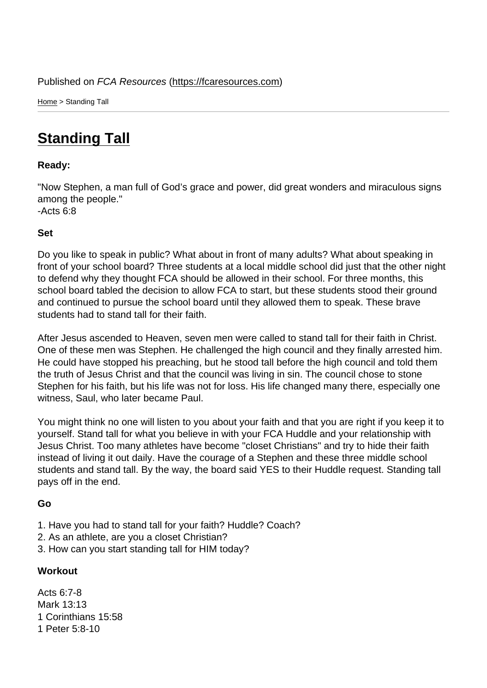Home > Standing Tall

## [Sta](https://fcaresources.com/)nding Tall

Ready:

["Now Stephen, a man](https://fcaresources.com/devotional/standing-tall) full of God's grace and power, did great wonders and miraculous signs among the people." -Acts 6:8

Set

Do you like to speak in public? What about in front of many adults? What about speaking in front of your school board? Three students at a local middle school did just that the other night to defend why they thought FCA should be allowed in their school. For three months, this school board tabled the decision to allow FCA to start, but these students stood their ground and continued to pursue the school board until they allowed them to speak. These brave students had to stand tall for their faith.

After Jesus ascended to Heaven, seven men were called to stand tall for their faith in Christ. One of these men was Stephen. He challenged the high council and they finally arrested him. He could have stopped his preaching, but he stood tall before the high council and told them the truth of Jesus Christ and that the council was living in sin. The council chose to stone Stephen for his faith, but his life was not for loss. His life changed many there, especially one witness, Saul, who later became Paul.

You might think no one will listen to you about your faith and that you are right if you keep it to yourself. Stand tall for what you believe in with your FCA Huddle and your relationship with Jesus Christ. Too many athletes have become "closet Christians" and try to hide their faith instead of living it out daily. Have the courage of a Stephen and these three middle school students and stand tall. By the way, the board said YES to their Huddle request. Standing tall pays off in the end.

Go

- 1. Have you had to stand tall for your faith? Huddle? Coach?
- 2. As an athlete, are you a closet Christian?
- 3. How can you start standing tall for HIM today?

**Workout** 

Acts 6:7-8 Mark 13:13 1 Corinthians 15:58 1 Peter 5:8-10